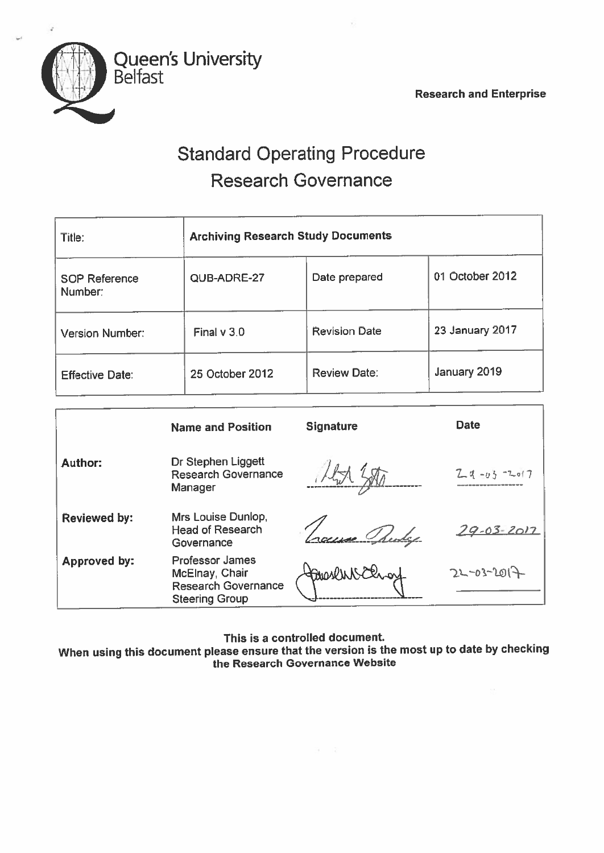Research and Enterprise



# Standard Operating Procedure Research Governance

| Title:                          | <b>Archiving Research Study Documents</b> |                      |                        |  |
|---------------------------------|-------------------------------------------|----------------------|------------------------|--|
| <b>SOP Reference</b><br>Number: | QUB-ADRE-27                               | Date prepared        | 01 October 2012        |  |
| Version Number:                 | Final $v$ 3.0                             | <b>Revision Date</b> | <b>23 January 2017</b> |  |
| <b>Effective Date:</b>          | 25 October 2012                           | <b>Review Date:</b>  | January 2019           |  |

|                     | <b>Name and Position</b>                                                                        | <b>Signature</b>  | <b>Date</b>          |
|---------------------|-------------------------------------------------------------------------------------------------|-------------------|----------------------|
| <b>Author:</b>      | Dr Stephen Liggett<br><b>Research Governance</b><br>Manager                                     |                   | $24 - 03$<br>$-Lol7$ |
| <b>Reviewed by:</b> | Mrs Louise Dunlop,<br><b>Head of Research</b><br>Governance                                     |                   | <u>79-03-2017</u>    |
| Approved by:        | <b>Professor James</b><br>McElnay, Chair<br><b>Research Governance</b><br><b>Steering Group</b> | <b>Hanaseling</b> | $22 - 03 - 2017$     |

This is <sup>a</sup> controlled document

When using this document <sup>p</sup>lease ensure that the version is the most up to date by checking the Research Governance Website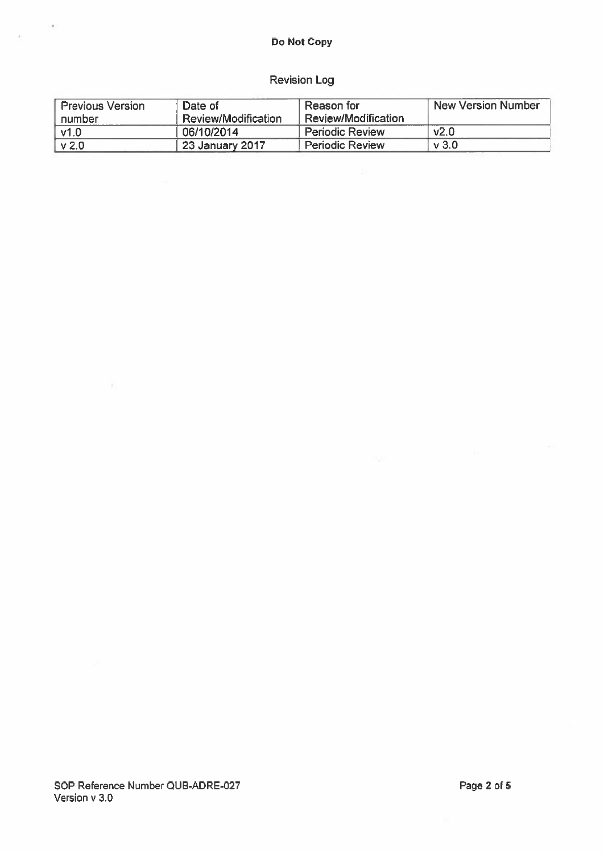### Do Not Copy

## Revision Log

| <b>Previous Version</b> | Date of             | Reason for             | New Version Number |
|-------------------------|---------------------|------------------------|--------------------|
| number                  | Review/Modification | Review/Modification    |                    |
| v1.0                    | 06/10/2014          | <b>Periodic Review</b> | V <sub>2.0</sub>   |
| V <sub>2.0</sub>        | , 23 January 2017   | <b>Periodic Review</b> | $\vee$ 3.0         |

- 23

 $\rightarrow$ 

 $\bar{A}$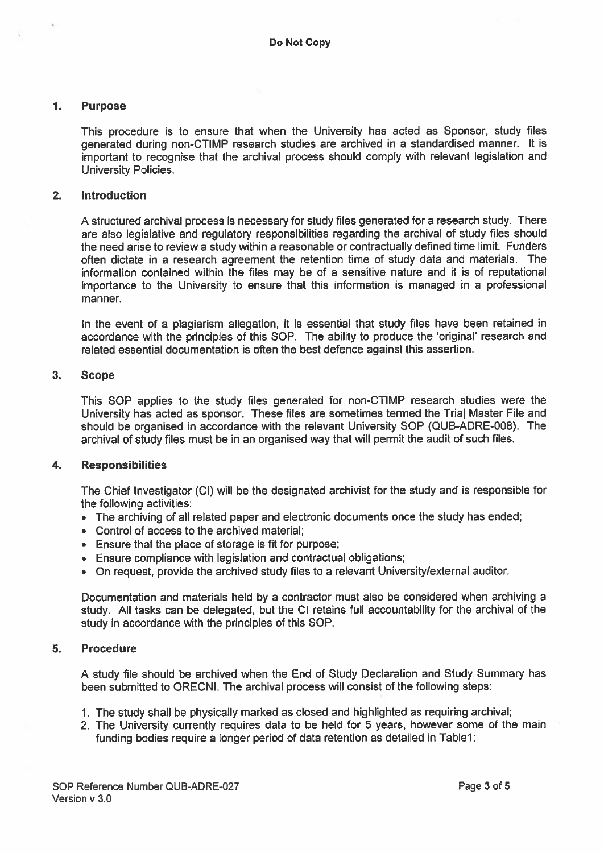#### 1. Purpose

This procedure is to ensure that when the University has acted as Sponsor, study files generated during non-CTIMP research studies are archived in <sup>a</sup> standardised manner. It is important to recognise that the archival process should comply with relevant legislation and University Policies.

#### 2. Introduction

A structured archival process is necessary for study files generated for <sup>a</sup> research study. There are also legislative and regulatory responsibilities regarding the archival of study files should the need arise to review <sup>a</sup> study within <sup>a</sup> reasonable or contractually defined time limit. Funders often dictate in <sup>a</sup> research agreemen<sup>t</sup> the retention time of study data and materials, The information contained within the files may be of <sup>a</sup> sensitive nature and it is of reputational importance to the University to ensure that this information is manage<sup>d</sup> in <sup>a</sup> professional manner.

In the event of <sup>a</sup> plagiarism allegation, it is essential that study files have been retained in accordance with the principles of this SOP. The ability to produce the 'original' research and related essential documentation is often the best defence against this assertion.

#### 3. Scope

This SOP applies to the study files generated for non-CTIMP research studies were the University has acted as sponsor. These files are sometimes termed the Trial Master File and should be organised in accordance with the relevant University SOP (QUB-ADRE-008). The archival of study files must be in an organised way that will permit the audit of such files.

#### 4. Responsibilities

The Chief Investigator (Cl) will be the designated archivist for the study and is responsible for the following activities:

- The archiving of all related paper and electronic documents once the study has ended;
- Control of access to the archived material;
- Ensure that the place of storage is fit for purpose;
- Ensure compliance with legislation and contractual obligations;
- On request, provide the archived study files to <sup>a</sup> relevant University/external auditor.

Documentation and materials held by <sup>a</sup> contractor must also be considered when archiving <sup>a</sup> study. All tasks can be delegated, but the Cl retains full accountability for the archival of the study in accordance with the principles of this SOP.

#### 5. Procedure

<sup>A</sup> study file should be archived when the End of Study Declaration and Study Summary has been submitted to ORECNI. The archival process will consist of the following steps:

- 1. The study shall be <sup>p</sup>hysically marked as closed and highlighted as requiring archival;
- 2. The University currently requires data to be held for 5 years, however some of the main funding bodies require a longer period of data retention as detailed in Table1: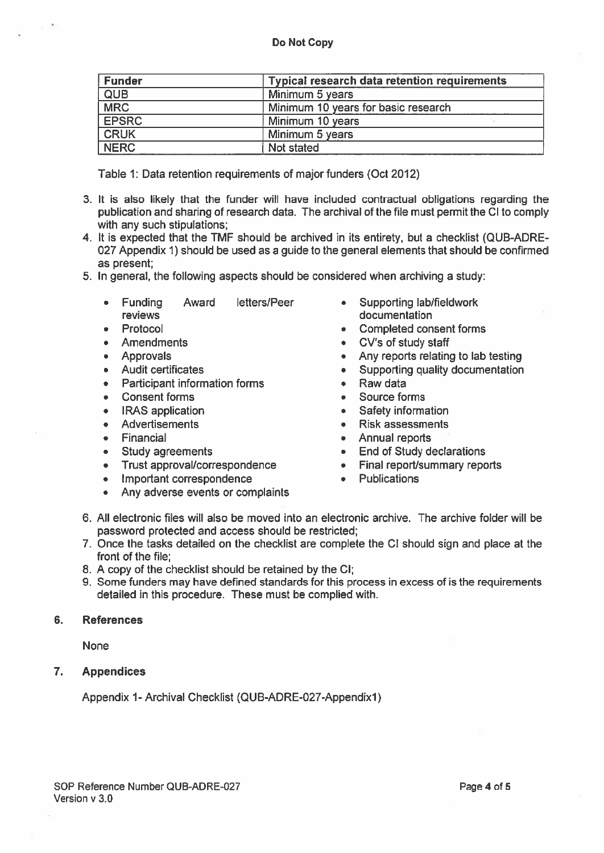| <b>Funder</b> | <b>Typical research data retention requirements</b> |  |  |
|---------------|-----------------------------------------------------|--|--|
| QUB           | Minimum 5 years                                     |  |  |
| <b>MRC</b>    | Minimum 10 years for basic research                 |  |  |
| <b>EPSRC</b>  | Minimum 10 years                                    |  |  |
| <b>CRUK</b>   | Minimum 5 years                                     |  |  |
| <b>NERC</b>   | Not stated                                          |  |  |

Table 1: Data retention requirements of major funders (Oct 2012)

- 3. It is also likely that the funder will have included contractual obligations regarding the publication and sharing of research data. The archival of the file must permit the Cl to comply with any such stipulations;
- 4. It is expected that the TMF should be archived in its entirety, but <sup>a</sup> checklist (QUB-ADRE 027 Appendix 1) should be used as <sup>a</sup> guide to the general elements that should be confirmed as present;
- 5. In general, the following aspects should be considered when archiving <sup>a</sup> study:
	- • Funding Award **reviews**
	- •Protocol
	- •**Amendments**
	- Approvals
	- Audit certificates
	- Participant information forms
	- •Consent forms
	- •IRAS application
	- •Advertisements
	- •Financial
	- •Study agreements
	- •Trust approval/correspondence
	- •Important correspondence
	- •Any adverse events or complaints
- letters/Peer Supporting lab/fieldwork documentation
	- •Completed consent forms
	- Cv's of study staff
	- Any reports relating to lab testing
	- •Supporting quality documentation
	- •Raw data
	- •Source forms
	- •Safety information
	- •Risk assessments
	- Annual reports
	- End of Study declarations
	- •Final report/summary reports
	- Publications
- 6. All electronic files will also be moved into an electronic archive. The archive folder will be password protected and access should be restricted;
- 7. Once the tasks detailed on the checklist are complete the CI should sign and place at the front of the file;
- 8. A copy of the checklist should be retained by the Cl;
- 9. Some funders may have defined standards for this process in excess of is the requirements detailed in this procedure. These must be complied with.

#### 6. References

None

7. Appendices

Appendix 1-Archival Checklist (QUB-ADRE-027-Appendixl)